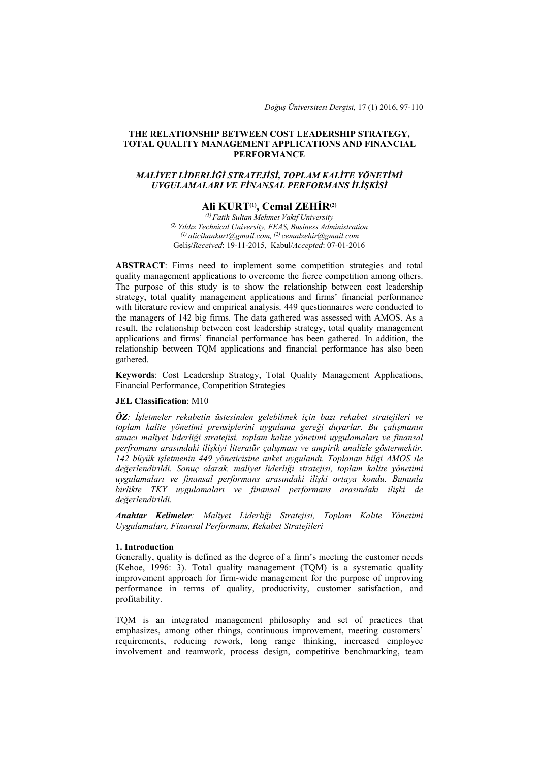*Doğuş Üniversitesi Dergisi,* 17 (1) 2016, 97-110

## **THE RELATIONSHIP BETWEEN COST LEADERSHIP STRATEGY, TOTAL QUALITY MANAGEMENT APPLICATIONS AND FINANCIAL PERFORMANCE**

## *MALİYET LİDERLİĞİ STRATEJİSİ, TOPLAM KALİTE YÖNETİMİ UYGULAMALARI VE FİNANSAL PERFORMANS İLİŞKİSİ*

# **Ali KURT(1), Cemal ZEHİR(2)**

*(1) Fatih Sultan Mehmet Vakif University (2) Yıldız Technical University, FEAS, Business Administration (1) alicihankurt@gmail.com, (2) cemalzehir@gmail.com*  Geliş/*Received*: 19-11-2015, Kabul/*Accepted*: 07-01-2016

**ABSTRACT**: Firms need to implement some competition strategies and total quality management applications to overcome the fierce competition among others. The purpose of this study is to show the relationship between cost leadership strategy, total quality management applications and firms' financial performance with literature review and empirical analysis. 449 questionnaires were conducted to the managers of 142 big firms. The data gathered was assessed with AMOS. As a result, the relationship between cost leadership strategy, total quality management applications and firms' financial performance has been gathered. In addition, the relationship between TQM applications and financial performance has also been gathered.

**Keywords**: Cost Leadership Strategy, Total Quality Management Applications, Financial Performance, Competition Strategies

## **JEL Classification**: M10

*ÖZ: İşletmeler rekabetin üstesinden gelebilmek için bazı rekabet stratejileri ve toplam kalite yönetimi prensiplerini uygulama gereği duyarlar. Bu çalışmanın amacı maliyet liderliği stratejisi, toplam kalite yönetimi uygulamaları ve finansal perfromans arasındaki ilişkiyi literatür çalışması ve ampirik analizle göstermektir. 142 büyük işletmenin 449 yöneticisine anket uygulandı. Toplanan bilgi AMOS ile değerlendirildi. Sonuç olarak, maliyet liderliği stratejisi, toplam kalite yönetimi uygulamaları ve finansal performans arasındaki ilişki ortaya kondu. Bununla birlikte TKY uygulamaları ve finansal performans arasındaki ilişki de değerlendirildi.*

*Anahtar Kelimeler: Maliyet Liderliği Stratejisi, Toplam Kalite Yönetimi Uygulamaları, Finansal Performans, Rekabet Stratejileri*

### **1. Introduction**

Generally, quality is defined as the degree of a firm's meeting the customer needs (Kehoe, 1996: 3). Total quality management (TQM) is a systematic quality improvement approach for firm-wide management for the purpose of improving performance in terms of quality, productivity, customer satisfaction, and profitability.

TQM is an integrated management philosophy and set of practices that emphasizes, among other things, continuous improvement, meeting customers' requirements, reducing rework, long range thinking, increased employee involvement and teamwork, process design, competitive benchmarking, team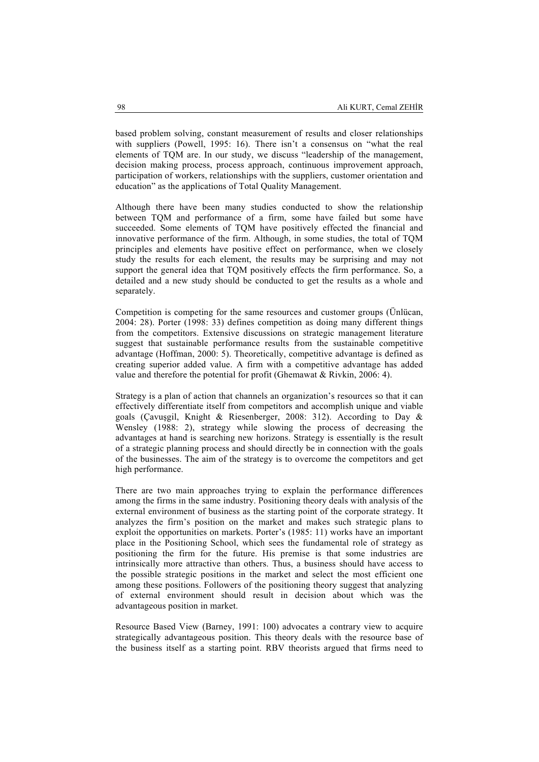based problem solving, constant measurement of results and closer relationships with suppliers (Powell, 1995: 16). There isn't a consensus on "what the real elements of TQM are. In our study, we discuss "leadership of the management, decision making process, process approach, continuous improvement approach, participation of workers, relationships with the suppliers, customer orientation and education" as the applications of Total Quality Management.

Although there have been many studies conducted to show the relationship between TQM and performance of a firm, some have failed but some have succeeded. Some elements of TQM have positively effected the financial and innovative performance of the firm. Although, in some studies, the total of TQM principles and elements have positive effect on performance, when we closely study the results for each element, the results may be surprising and may not support the general idea that TQM positively effects the firm performance. So, a detailed and a new study should be conducted to get the results as a whole and separately.

Competition is competing for the same resources and customer groups (Ünlücan, 2004: 28). Porter (1998: 33) defines competition as doing many different things from the competitors. Extensive discussions on strategic management literature suggest that sustainable performance results from the sustainable competitive advantage (Hoffman, 2000: 5). Theoretically, competitive advantage is defined as creating superior added value. A firm with a competitive advantage has added value and therefore the potential for profit (Ghemawat & Rivkin, 2006: 4).

Strategy is a plan of action that channels an organization's resources so that it can effectively differentiate itself from competitors and accomplish unique and viable goals (Çavuşgil, Knight & Riesenberger, 2008: 312). According to Day & Wensley (1988: 2), strategy while slowing the process of decreasing the advantages at hand is searching new horizons. Strategy is essentially is the result of a strategic planning process and should directly be in connection with the goals of the businesses. The aim of the strategy is to overcome the competitors and get high performance.

There are two main approaches trying to explain the performance differences among the firms in the same industry. Positioning theory deals with analysis of the external environment of business as the starting point of the corporate strategy. It analyzes the firm's position on the market and makes such strategic plans to exploit the opportunities on markets. Porter's (1985: 11) works have an important place in the Positioning School, which sees the fundamental role of strategy as positioning the firm for the future. His premise is that some industries are intrinsically more attractive than others. Thus, a business should have access to the possible strategic positions in the market and select the most efficient one among these positions. Followers of the positioning theory suggest that analyzing of external environment should result in decision about which was the advantageous position in market.

Resource Based View (Barney, 1991: 100) advocates a contrary view to acquire strategically advantageous position. This theory deals with the resource base of the business itself as a starting point. RBV theorists argued that firms need to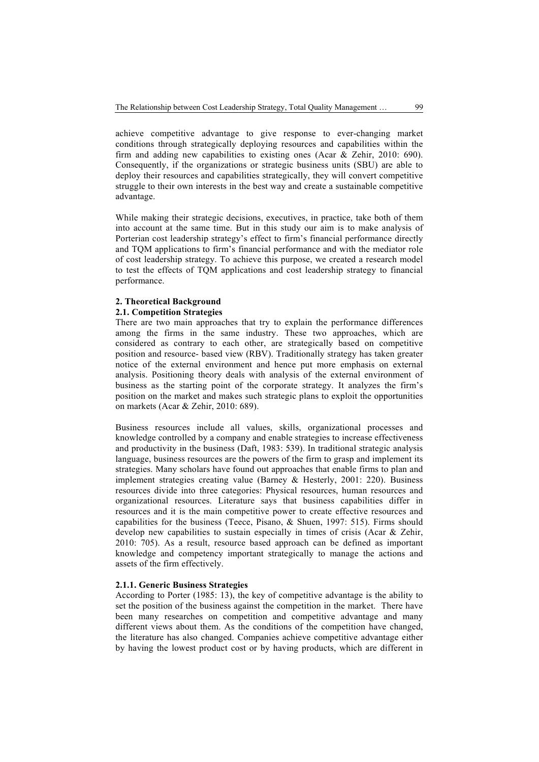achieve competitive advantage to give response to ever-changing market conditions through strategically deploying resources and capabilities within the firm and adding new capabilities to existing ones (Acar & Zehir, 2010: 690). Consequently, if the organizations or strategic business units (SBU) are able to deploy their resources and capabilities strategically, they will convert competitive struggle to their own interests in the best way and create a sustainable competitive advantage.

While making their strategic decisions, executives, in practice, take both of them into account at the same time. But in this study our aim is to make analysis of Porterian cost leadership strategy's effect to firm's financial performance directly and TQM applications to firm's financial performance and with the mediator role of cost leadership strategy. To achieve this purpose, we created a research model to test the effects of TQM applications and cost leadership strategy to financial performance.

### **2. Theoretical Background**

#### **2.1. Competition Strategies**

There are two main approaches that try to explain the performance differences among the firms in the same industry. These two approaches, which are considered as contrary to each other, are strategically based on competitive position and resource- based view (RBV). Traditionally strategy has taken greater notice of the external environment and hence put more emphasis on external analysis. Positioning theory deals with analysis of the external environment of business as the starting point of the corporate strategy. It analyzes the firm's position on the market and makes such strategic plans to exploit the opportunities on markets (Acar & Zehir, 2010: 689).

Business resources include all values, skills, organizational processes and knowledge controlled by a company and enable strategies to increase effectiveness and productivity in the business (Daft, 1983: 539). In traditional strategic analysis language, business resources are the powers of the firm to grasp and implement its strategies. Many scholars have found out approaches that enable firms to plan and implement strategies creating value (Barney & Hesterly, 2001: 220). Business resources divide into three categories: Physical resources, human resources and organizational resources. Literature says that business capabilities differ in resources and it is the main competitive power to create effective resources and capabilities for the business (Teece, Pisano, & Shuen, 1997: 515). Firms should develop new capabilities to sustain especially in times of crisis (Acar & Zehir, 2010: 705). As a result, resource based approach can be defined as important knowledge and competency important strategically to manage the actions and assets of the firm effectively.

### **2.1.1. Generic Business Strategies**

According to Porter (1985: 13), the key of competitive advantage is the ability to set the position of the business against the competition in the market. There have been many researches on competition and competitive advantage and many different views about them. As the conditions of the competition have changed, the literature has also changed. Companies achieve competitive advantage either by having the lowest product cost or by having products, which are different in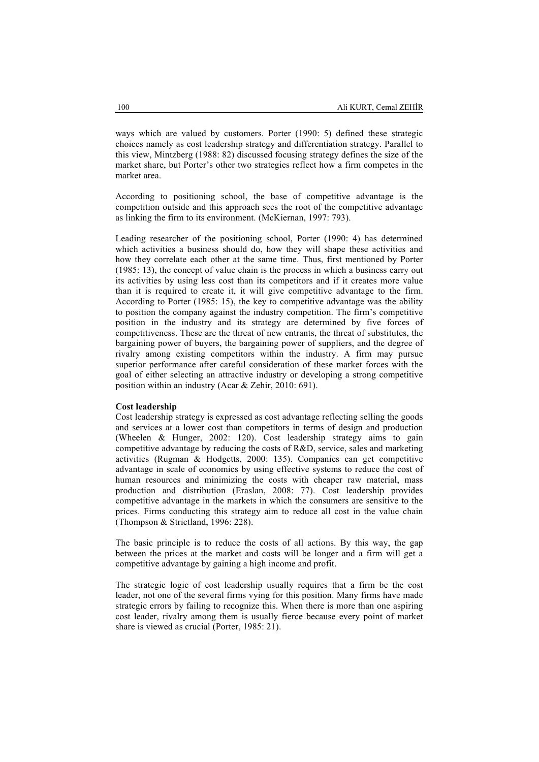ways which are valued by customers. Porter (1990: 5) defined these strategic choices namely as cost leadership strategy and differentiation strategy. Parallel to this view, Mintzberg (1988: 82) discussed focusing strategy defines the size of the market share, but Porter's other two strategies reflect how a firm competes in the market area.

According to positioning school, the base of competitive advantage is the competition outside and this approach sees the root of the competitive advantage as linking the firm to its environment. (McKiernan, 1997: 793).

Leading researcher of the positioning school, Porter (1990: 4) has determined which activities a business should do, how they will shape these activities and how they correlate each other at the same time. Thus, first mentioned by Porter (1985: 13), the concept of value chain is the process in which a business carry out its activities by using less cost than its competitors and if it creates more value than it is required to create it, it will give competitive advantage to the firm. According to Porter (1985: 15), the key to competitive advantage was the ability to position the company against the industry competition. The firm's competitive position in the industry and its strategy are determined by five forces of competitiveness. These are the threat of new entrants, the threat of substitutes, the bargaining power of buyers, the bargaining power of suppliers, and the degree of rivalry among existing competitors within the industry. A firm may pursue superior performance after careful consideration of these market forces with the goal of either selecting an attractive industry or developing a strong competitive position within an industry (Acar & Zehir, 2010: 691).

#### **Cost leadership**

Cost leadership strategy is expressed as cost advantage reflecting selling the goods and services at a lower cost than competitors in terms of design and production (Wheelen & Hunger, 2002: 120). Cost leadership strategy aims to gain competitive advantage by reducing the costs of R&D, service, sales and marketing activities (Rugman & Hodgetts, 2000: 135). Companies can get competitive advantage in scale of economics by using effective systems to reduce the cost of human resources and minimizing the costs with cheaper raw material, mass production and distribution (Eraslan, 2008: 77). Cost leadership provides competitive advantage in the markets in which the consumers are sensitive to the prices. Firms conducting this strategy aim to reduce all cost in the value chain (Thompson & Strictland, 1996: 228).

The basic principle is to reduce the costs of all actions. By this way, the gap between the prices at the market and costs will be longer and a firm will get a competitive advantage by gaining a high income and profit.

The strategic logic of cost leadership usually requires that a firm be the cost leader, not one of the several firms vying for this position. Many firms have made strategic errors by failing to recognize this. When there is more than one aspiring cost leader, rivalry among them is usually fierce because every point of market share is viewed as crucial (Porter, 1985: 21).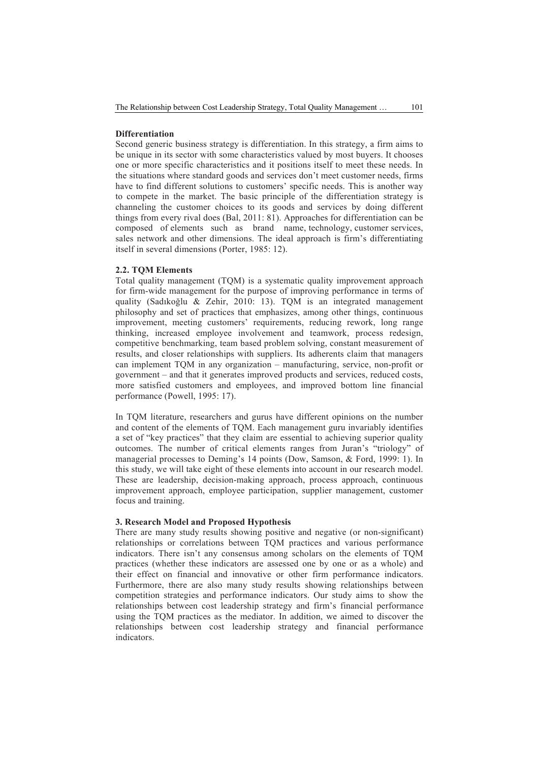## **Differentiation**

Second generic business strategy is differentiation. In this strategy, a firm aims to be unique in its sector with some characteristics valued by most buyers. It chooses one or more specific characteristics and it positions itself to meet these needs. In the situations where standard goods and services don't meet customer needs, firms have to find different solutions to customers' specific needs. This is another way to compete in the market. The basic principle of the differentiation strategy is channeling the customer choices to its goods and services by doing different things from every rival does (Bal, 2011: 81). Approaches for differentiation can be composed of elements such as brand name, technology, customer services, sales network and other dimensions. The ideal approach is firm's differentiating itself in several dimensions (Porter, 1985: 12).

#### **2.2. TQM Elements**

Total quality management (TQM) is a systematic quality improvement approach for firm-wide management for the purpose of improving performance in terms of quality (Sadıkoğlu & Zehir, 2010: 13). TQM is an integrated management philosophy and set of practices that emphasizes, among other things, continuous improvement, meeting customers' requirements, reducing rework, long range thinking, increased employee involvement and teamwork, process redesign, competitive benchmarking, team based problem solving, constant measurement of results, and closer relationships with suppliers. Its adherents claim that managers can implement TQM in any organization – manufacturing, service, non-profit or government – and that it generates improved products and services, reduced costs, more satisfied customers and employees, and improved bottom line financial performance (Powell, 1995: 17).

In TQM literature, researchers and gurus have different opinions on the number and content of the elements of TQM. Each management guru invariably identifies a set of "key practices" that they claim are essential to achieving superior quality outcomes. The number of critical elements ranges from Juran's "triology" of managerial processes to Deming's 14 points (Dow, Samson, & Ford, 1999: 1). In this study, we will take eight of these elements into account in our research model. These are leadership, decision-making approach, process approach, continuous improvement approach, employee participation, supplier management, customer focus and training.

## **3. Research Model and Proposed Hypothesis**

There are many study results showing positive and negative (or non-significant) relationships or correlations between TQM practices and various performance indicators. There isn't any consensus among scholars on the elements of TQM practices (whether these indicators are assessed one by one or as a whole) and their effect on financial and innovative or other firm performance indicators. Furthermore, there are also many study results showing relationships between competition strategies and performance indicators. Our study aims to show the relationships between cost leadership strategy and firm's financial performance using the TQM practices as the mediator. In addition, we aimed to discover the relationships between cost leadership strategy and financial performance indicators.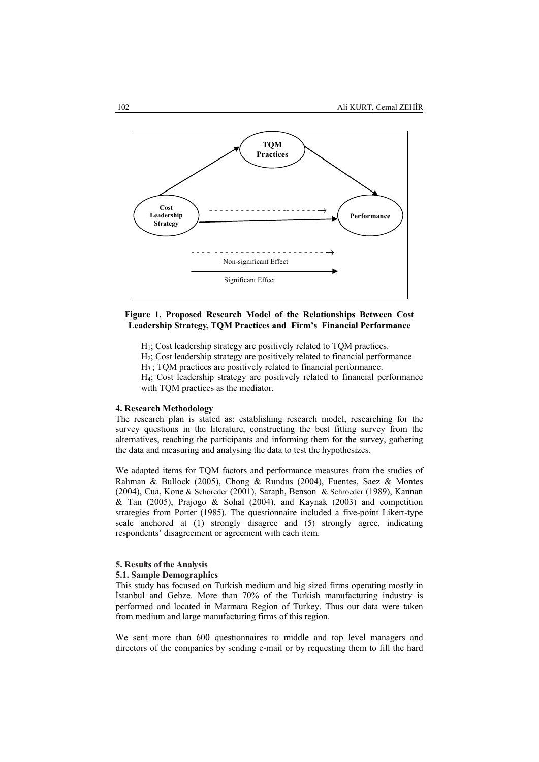

## **Figure 1. Proposed Research Model of the Relationships Between Cost Leadership Strategy, TQM Practices and Firm's Financial Performance**

 $H<sub>1</sub>$ ; Cost leadership strategy are positively related to TQM practices.

H2; Cost leadership strategy are positively related to financial performance

H3 ; TQM practices are positively related to financial performance.

H4; Cost leadership strategy are positively related to financial performance with TQM practices as the mediator.

#### **4. Research Methodology**

The research plan is stated as: establishing research model, researching for the survey questions in the literature, constructing the best fitting survey from the alternatives, reaching the participants and informing them for the survey, gathering the data and measuring and analysing the data to test the hypothesizes.

We adapted items for TQM factors and performance measures from the studies of Rahman & Bullock (2005), Chong & Rundus (2004), Fuentes, Saez & Montes (2004), Cua, Kone & Schoreder (2001), Saraph, Benson & Schroeder (1989), Kannan & Tan (2005), Prajogo & Sohal (2004), and Kaynak (2003) and competition strategies from Porter (1985). The questionnaire included a five-point Likert-type scale anchored at (1) strongly disagree and (5) strongly agree, indicating respondents' disagreement or agreement with each item.

#### **5. Results of the Analysis**

## **5.1. Sample Demographics**

This study has focused on Turkish medium and big sized firms operating mostly in İstanbul and Gebze. More than 70% of the Turkish manufacturing industry is performed and located in Marmara Region of Turkey. Thus our data were taken from medium and large manufacturing firms of this region.

We sent more than 600 questionnaires to middle and top level managers and directors of the companies by sending e-mail or by requesting them to fill the hard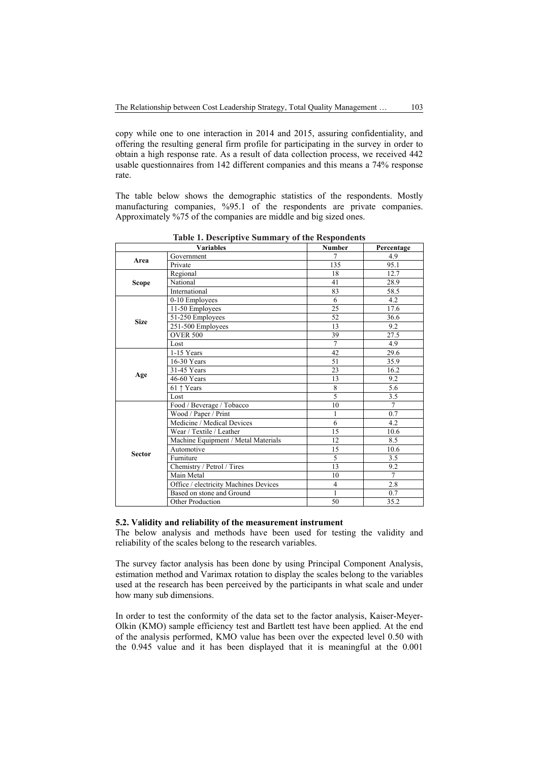copy while one to one interaction in 2014 and 2015, assuring confidentiality, and offering the resulting general firm profile for participating in the survey in order to obtain a high response rate. As a result of data collection process, we received 442 usable questionnaires from 142 different companies and this means a 74% response rate.

The table below shows the demographic statistics of the respondents. Mostly manufacturing companies, %95.1 of the respondents are private companies. Approximately %75 of the companies are middle and big sized ones.

|               | <b>Variables</b>                      | <b>Number</b>                                                                                                    | Percentage |
|---------------|---------------------------------------|------------------------------------------------------------------------------------------------------------------|------------|
| Area          | Government                            | 7                                                                                                                | 4.9        |
|               | Private                               | 135                                                                                                              | 95.1       |
|               | Regional                              | 18                                                                                                               | 12.7       |
| <b>Scope</b>  | National                              | 41                                                                                                               | 28.9       |
|               | International                         | 83                                                                                                               | 58.5       |
|               | 0-10 Employees                        | 6                                                                                                                | 4.2        |
|               | 11-50 Employees                       | 25                                                                                                               | 17.6       |
|               | 51-250 Employees                      | 52                                                                                                               | 36.6       |
| <b>Size</b>   | 251-500 Employees                     | 13                                                                                                               | 9.2        |
|               | <b>OVER 500</b>                       | 39                                                                                                               | 27.5       |
|               | Lost                                  | $\overline{7}$                                                                                                   | 4.9        |
|               | 1-15 Years                            | 42                                                                                                               | 29.6       |
|               | 16-30 Years                           | 51                                                                                                               | 35.9       |
|               | 31-45 Years                           | 23<br>13<br>8<br>5<br>10<br>1<br>6<br>15<br>12<br>15<br>5<br>13<br>10<br>$\overline{4}$<br>1<br>50               | 16.2       |
| Age           | 46-60 Years                           |                                                                                                                  | 9.2        |
|               | 61 ↑ Years                            |                                                                                                                  | 5.6        |
|               | Lost                                  | 3.5<br>$\overline{7}$<br>0.7<br>4.2<br>10.6<br>8.5<br>10.6<br>3.5<br>9.2<br>$\overline{7}$<br>2.8<br>0.7<br>35.2 |            |
|               | Food / Beverage / Tobacco             |                                                                                                                  |            |
|               | Wood / Paper / Print                  |                                                                                                                  |            |
|               | Medicine / Medical Devices            |                                                                                                                  |            |
|               | Wear / Textile / Leather              |                                                                                                                  |            |
|               | Machine Equipment / Metal Materials   |                                                                                                                  |            |
| <b>Sector</b> | Automotive                            |                                                                                                                  |            |
|               | Furniture                             |                                                                                                                  |            |
|               | Chemistry / Petrol / Tires            |                                                                                                                  |            |
|               | Main Metal                            |                                                                                                                  |            |
|               | Office / electricity Machines Devices |                                                                                                                  |            |
|               | Based on stone and Ground             |                                                                                                                  |            |
|               | Other Production                      |                                                                                                                  |            |

**Table 1. Descriptive Summary of the Respondents**

# **5.2. Validity and reliability of the measurement instrument**

The below analysis and methods have been used for testing the validity and reliability of the scales belong to the research variables.

The survey factor analysis has been done by using Principal Component Analysis, estimation method and Varimax rotation to display the scales belong to the variables used at the research has been perceived by the participants in what scale and under how many sub dimensions.

In order to test the conformity of the data set to the factor analysis, Kaiser-Meyer-Olkin (KMO) sample efficiency test and Bartlett test have been applied. At the end of the analysis performed, KMO value has been over the expected level 0.50 with the 0.945 value and it has been displayed that it is meaningful at the 0.001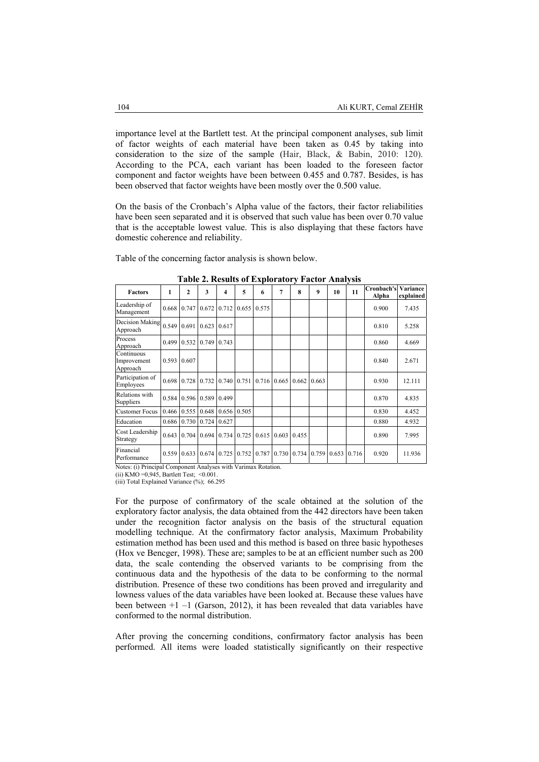importance level at the Bartlett test. At the principal component analyses, sub limit of factor weights of each material have been taken as 0.45 by taking into consideration to the size of the sample (Hair, Black, & Babin, 2010: 120). According to the PCA, each variant has been loaded to the foreseen factor component and factor weights have been between 0.455 and 0.787. Besides, is has been observed that factor weights have been mostly over the 0.500 value.

On the basis of the Cronbach's Alpha value of the factors, their factor reliabilities have been seen separated and it is observed that such value has been over 0.70 value that is the acceptable lowest value. This is also displaying that these factors have domestic coherence and reliability.

Table of the concerning factor analysis is shown below.

| <b>Factors</b>                                                | 1     | $\mathbf{2}$ | 3           | 4     | 5     | 6                 | 7                   | 8     | 9     | 10    | 11    | Cronbach's<br>Alpha | Variance<br>explained |
|---------------------------------------------------------------|-------|--------------|-------------|-------|-------|-------------------|---------------------|-------|-------|-------|-------|---------------------|-----------------------|
| Leadership of<br>Management                                   | 0.668 | 0.747        | 0.672       | 0.712 | 0.655 | 0.575             |                     |       |       |       |       | 0.900               | 7.435                 |
| Decision Making<br>Approach                                   | 0.549 | 0.691        | 0.623       | 0.617 |       |                   |                     |       |       |       |       | 0.810               | 5.258                 |
| Process<br>Approach                                           | 0.499 | 0.532        | 0.749       | 0.743 |       |                   |                     |       |       |       |       | 0.860               | 4.669                 |
| Continuous<br>Improvement<br>Approach                         | 0.593 | 0.607        |             |       |       |                   |                     |       |       |       |       | 0.840               | 2.671                 |
| Participation of<br>Employees                                 | 0.698 | 0.728        | 0.732       | 0.740 | 0.751 |                   | 0.716 0.665         | 0.662 | 0.663 |       |       | 0.930               | 12.111                |
| Relations with<br>Suppliers                                   | 0.584 |              | 0.596 0.589 | 0.499 |       |                   |                     |       |       |       |       | 0.870               | 4.835                 |
| <b>Customer Focus</b>                                         | 0.466 | 0.555        | 0.648       | 0.656 | 0.505 |                   |                     |       |       |       |       | 0.830               | 4.452                 |
| Education                                                     | 0.686 |              | 0.730 0.724 | 0.627 |       |                   |                     |       |       |       |       | 0.880               | 4.932                 |
| Cost Leadership<br>Strategy                                   | 0.643 | 0.704        | 0.694       | 0.734 | 0.725 |                   | $0.615 \cdot 0.603$ | 0.455 |       |       |       | 0.890               | 7.995                 |
| Financial<br>Performance                                      | 0.559 | 0.633        | 0.674       | 0.725 |       | 0.752 0.787 0.730 |                     | 0.734 | 0.759 | 0.653 | 0.716 | 0.920               | 11.936                |
| Notes: (i) Principal Component Analyses with Varimay Rotation |       |              |             |       |       |                   |                     |       |       |       |       |                     |                       |

**Table 2. Results of Exploratory Factor Analysis** 

rith Varimax Rotation

(ii) KMO =  $0.945$ , Bartlett Test; < $0.001$ (iii) Total Explained Variance (%); 66.295

For the purpose of confirmatory of the scale obtained at the solution of the exploratory factor analysis, the data obtained from the 442 directors have been taken under the recognition factor analysis on the basis of the structural equation modelling technique. At the confirmatory factor analysis, Maximum Probability estimation method has been used and this method is based on three basic hypotheses (Hox ve Bencger, 1998). These are; samples to be at an efficient number such as 200 data, the scale contending the observed variants to be comprising from the continuous data and the hypothesis of the data to be conforming to the normal distribution. Presence of these two conditions has been proved and irregularity and lowness values of the data variables have been looked at. Because these values have been between  $+1$  –1 (Garson, 2012), it has been revealed that data variables have conformed to the normal distribution.

After proving the concerning conditions, confirmatory factor analysis has been performed. All items were loaded statistically significantly on their respective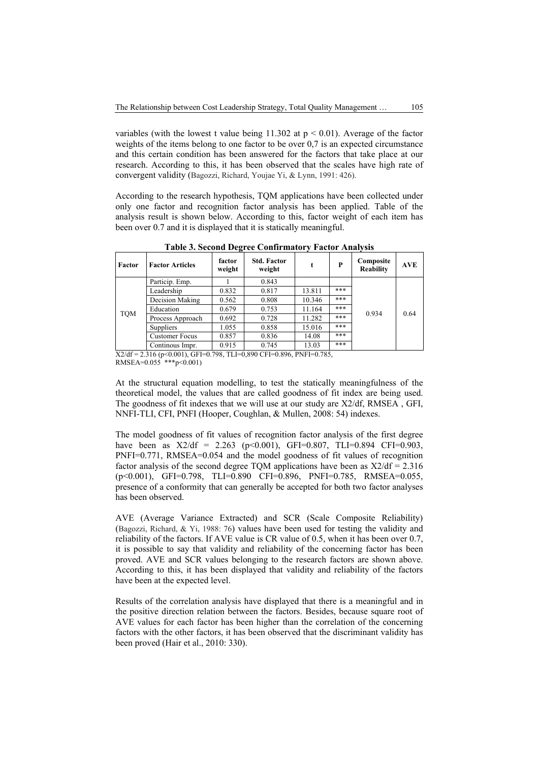variables (with the lowest t value being 11.302 at  $p < 0.01$ ). Average of the factor weights of the items belong to one factor to be over 0,7 is an expected circumstance and this certain condition has been answered for the factors that take place at our research. According to this, it has been observed that the scales have high rate of convergent validity (Bagozzi, Richard, Youjae Yi, & Lynn, 1991: 426).

According to the research hypothesis, TQM applications have been collected under only one factor and recognition factor analysis has been applied. Table of the analysis result is shown below. According to this, factor weight of each item has been over 0.7 and it is displayed that it is statically meaningful.

| Factor     | <b>Factor Articles</b> | factor<br>weight | <b>Std. Factor</b><br>weight | t      | P   | Composite<br><b>Reability</b> | <b>AVE</b> |
|------------|------------------------|------------------|------------------------------|--------|-----|-------------------------------|------------|
|            | Particip. Emp.         |                  | 0.843                        |        |     |                               |            |
| <b>TOM</b> | Leadership             | 0.832            | 0.817                        | 13.811 | *** |                               |            |
|            | Decision Making        | 0.562            | 0.808                        | 10.346 | *** |                               |            |
|            | Education              | 0.679            | 0.753                        | 11.164 | *** | 0.934                         |            |
|            | Process Approach       | 0.692            | 0.728                        | 11.282 | *** |                               | 0.64       |
|            | Suppliers              | 1.055            | 0.858                        | 15.016 | *** |                               |            |
|            | <b>Customer Focus</b>  | 0.857            | 0.836                        | 14.08  | *** |                               |            |
|            | Continous Impr.        | 0.915            | 0.745                        | 13.03  | *** |                               |            |

**Table 3. Second Degree Confirmatory Factor Analysis**

X2/df = 2.316 (p<0.001), GFI=0.798, TLI=0,890 CFI=0.896, PNFI=0.785, RMSEA=0.055 \*\*\*p<0.001)

At the structural equation modelling, to test the statically meaningfulness of the theoretical model, the values that are called goodness of fit index are being used. The goodness of fit indexes that we will use at our study are X2/df, RMSEA , GFI, NNFI-TLI, CFI, PNFI (Hooper, Coughlan, & Mullen, 2008: 54) indexes.

The model goodness of fit values of recognition factor analysis of the first degree have been as  $X2/df = 2.263$  (p<0.001), GFI=0.807, TLI=0.894 CFI=0.903, PNFI=0.771, RMSEA=0.054 and the model goodness of fit values of recognition factor analysis of the second degree TQM applications have been as  $X2/df = 2.316$ (p<0.001), GFI=0.798, TLI=0.890 CFI=0.896, PNFI=0.785, RMSEA=0.055, presence of a conformity that can generally be accepted for both two factor analyses has been observed.

AVE (Average Variance Extracted) and SCR (Scale Composite Reliability) (Bagozzi, Richard, & Yi, 1988: 76) values have been used for testing the validity and reliability of the factors. If AVE value is CR value of 0.5, when it has been over 0.7, it is possible to say that validity and reliability of the concerning factor has been proved. AVE and SCR values belonging to the research factors are shown above. According to this, it has been displayed that validity and reliability of the factors have been at the expected level.

Results of the correlation analysis have displayed that there is a meaningful and in the positive direction relation between the factors. Besides, because square root of AVE values for each factor has been higher than the correlation of the concerning factors with the other factors, it has been observed that the discriminant validity has been proved (Hair et al., 2010: 330).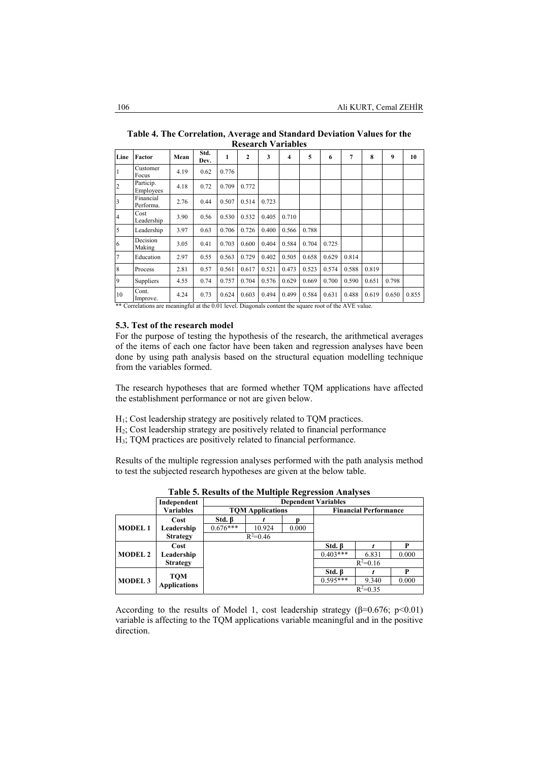| Line                    | Factor                 | Mean | Std.<br>Dev. | 1     | 2     | 3     | 4     | 5     | 6     | $\overline{7}$ | 8     | 9     | 10    |
|-------------------------|------------------------|------|--------------|-------|-------|-------|-------|-------|-------|----------------|-------|-------|-------|
| $\vert$ 1               | Customer<br>Focus      | 4.19 | 0.62         | 0.776 |       |       |       |       |       |                |       |       |       |
| $\overline{2}$          | Particip.<br>Employees | 4.18 | 0.72         | 0.709 | 0.772 |       |       |       |       |                |       |       |       |
| $\overline{\mathbf{3}}$ | Financial<br>Performa. | 2.76 | 0.44         | 0.507 | 0.514 | 0.723 |       |       |       |                |       |       |       |
| $\overline{4}$          | Cost<br>Leadership     | 3.90 | 0.56         | 0.530 | 0.532 | 0.405 | 0.710 |       |       |                |       |       |       |
| $\overline{5}$          | Leadership             | 3.97 | 0.63         | 0.706 | 0.726 | 0.400 | 0.566 | 0.788 |       |                |       |       |       |
| 6                       | Decision<br>Making     | 3.05 | 0.41         | 0.703 | 0.600 | 0.404 | 0.584 | 0.704 | 0.725 |                |       |       |       |
| $7\overline{ }$         | Education              | 2.97 | 0.55         | 0.563 | 0.729 | 0.402 | 0.505 | 0.658 | 0.629 | 0.814          |       |       |       |
| 8                       | Process                | 2.81 | 0.57         | 0.561 | 0.617 | 0.521 | 0.473 | 0.523 | 0.574 | 0.588          | 0.819 |       |       |
| 9                       | Suppliers              | 4.55 | 0.74         | 0.757 | 0.704 | 0.576 | 0.629 | 0.669 | 0.700 | 0.590          | 0.651 | 0.798 |       |
| 10                      | Cont.<br>Improve.      | 4.24 | 0.73         | 0.624 | 0.603 | 0.494 | 0.499 | 0.584 | 0.631 | 0.488          | 0.619 | 0.650 | 0.855 |

**Table 4. The Correlation, Average and Standard Deviation Values for the Research Variables** 

\*\* Correlations are meaningful at the 0.01 level. Diagonals content the square root of the AVE value.

#### **5.3. Test of the research model**

For the purpose of testing the hypothesis of the research, the arithmetical averages of the items of each one factor have been taken and regression analyses have been done by using path analysis based on the structural equation modelling technique from the variables formed.

The research hypotheses that are formed whether TQM applications have affected the establishment performance or not are given below.

- H1; Cost leadership strategy are positively related to TQM practices.
- H2; Cost leadership strategy are positively related to financial performance
- H3; TQM practices are positively related to financial performance.

Results of the multiple regression analyses performed with the path analysis method to test the subjected research hypotheses are given at the below table.

|                |                                   | Independent      | <b>Dependent Variables</b> |                         |              |              |                              |       |  |  |  |  |
|----------------|-----------------------------------|------------------|----------------------------|-------------------------|--------------|--------------|------------------------------|-------|--|--|--|--|
|                |                                   | <b>Variables</b> |                            | <b>TOM Applications</b> |              |              | <b>Financial Performance</b> |       |  |  |  |  |
|                |                                   | Cost             | $Std. \, \beta$            |                         |              |              |                              |       |  |  |  |  |
| <b>MODEL1</b>  | Leadership                        | $0.676***$       | 10.924                     | 0.000                   |              |              |                              |       |  |  |  |  |
|                | <b>Strategy</b>                   |                  | $R^2 = 0.46$               |                         |              |              |                              |       |  |  |  |  |
|                | Cost                              |                  |                            |                         | $Std. \beta$ |              |                              |       |  |  |  |  |
|                | <b>MODEL 2</b>                    | Leadership       |                            |                         |              | $0.403***$   | 6.831                        | 0.000 |  |  |  |  |
|                | <b>Strategy</b>                   |                  |                            |                         |              | $R^2 = 0.16$ |                              |       |  |  |  |  |
| <b>MODEL 3</b> |                                   |                  |                            |                         | $Std. \beta$ |              | P                            |       |  |  |  |  |
|                | <b>TOM</b><br><b>Applications</b> |                  |                            |                         | $0.595***$   | 9.340        | 0.000                        |       |  |  |  |  |
|                |                                   |                  |                            |                         |              | $R^2 = 0.35$ |                              |       |  |  |  |  |

**Table 5. Results of the Multiple Regression Analyses** 

According to the results of Model 1, cost leadership strategy ( $\beta$ =0.676; p<0.01) variable is affecting to the TQM applications variable meaningful and in the positive direction.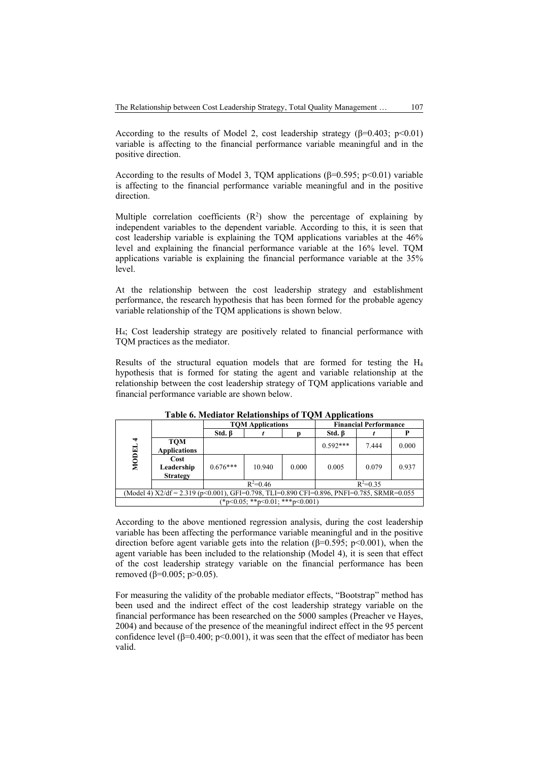According to the results of Model 2, cost leadership strategy ( $\beta$ =0.403; p<0.01) variable is affecting to the financial performance variable meaningful and in the positive direction.

According to the results of Model 3, TQM applications ( $\beta$ =0.595; p<0.01) variable is affecting to the financial performance variable meaningful and in the positive direction.

Multiple correlation coefficients  $(R^2)$  show the percentage of explaining by independent variables to the dependent variable. According to this, it is seen that cost leadership variable is explaining the TQM applications variables at the 46% level and explaining the financial performance variable at the 16% level. TQM applications variable is explaining the financial performance variable at the 35% level.

At the relationship between the cost leadership strategy and establishment performance, the research hypothesis that has been formed for the probable agency variable relationship of the TQM applications is shown below.

H4; Cost leadership strategy are positively related to financial performance with TQM practices as the mediator.

Results of the structural equation models that are formed for testing the H4 hypothesis that is formed for stating the agent and variable relationship at the relationship between the cost leadership strategy of TQM applications variable and financial performance variable are shown below.

|                                                                                             |                                       |              | <b>TOM Applications</b> |       |              | <b>Financial Performance</b> |       |  |  |  |
|---------------------------------------------------------------------------------------------|---------------------------------------|--------------|-------------------------|-------|--------------|------------------------------|-------|--|--|--|
|                                                                                             |                                       | $Std. \beta$ |                         |       | $Std. \beta$ |                              |       |  |  |  |
| MODEL <sub>4</sub>                                                                          | <b>TOM</b><br><b>Applications</b>     |              |                         |       | $0.592***$   | 7.444                        | 0.000 |  |  |  |
|                                                                                             | Cost<br>Leadership<br><b>Strategy</b> | $0.676***$   | 10.940                  | 0.000 | 0.005        | 0.079                        | 0.937 |  |  |  |
|                                                                                             |                                       |              | $R^2 = 0.46$            |       | $R^2=0.35$   |                              |       |  |  |  |
| (Model 4) $X2/df = 2.319$ (p<0.001), GFI=0.798, TLI=0.890 CFI=0.896, PNFI=0.785, SRMR=0.055 |                                       |              |                         |       |              |                              |       |  |  |  |
|                                                                                             | $(*p<0.05; **p<0.01; **p<0.001)$      |              |                         |       |              |                              |       |  |  |  |

**Table 6. Mediator Relationships of TQM Applications** 

According to the above mentioned regression analysis, during the cost leadership variable has been affecting the performance variable meaningful and in the positive direction before agent variable gets into the relation ( $\beta$ =0.595; p<0.001), when the agent variable has been included to the relationship (Model 4), it is seen that effect of the cost leadership strategy variable on the financial performance has been removed (β=0.005; p>0.05).

For measuring the validity of the probable mediator effects, "Bootstrap" method has been used and the indirect effect of the cost leadership strategy variable on the financial performance has been researched on the 5000 samples (Preacher ve Hayes, 2004) and because of the presence of the meaningful indirect effect in the 95 percent confidence level ( $\beta$ =0.400; p<0.001), it was seen that the effect of mediator has been valid.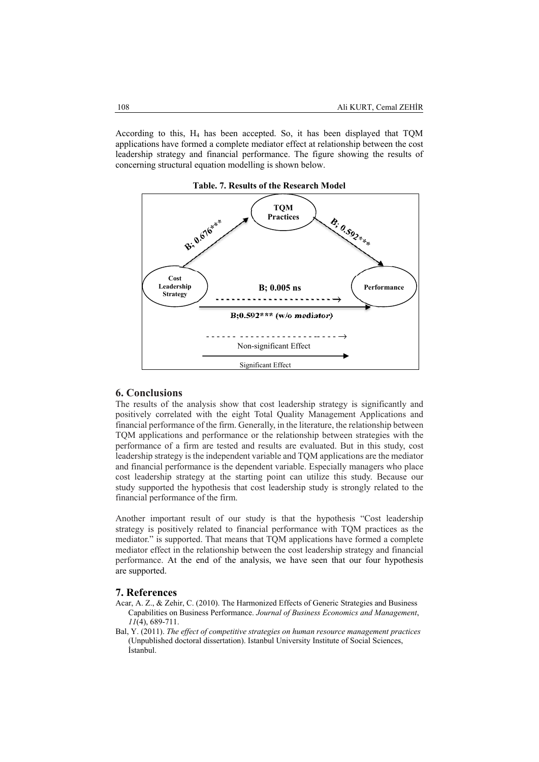According to this, H4 has been accepted. So, it has been displayed that TQM applications have formed a complete mediator effect at relationship between the cost leadership strategy and financial performance. The figure showing the results of concerning structural equation modelling is shown below.



### **6. Conclusions**

The results of the analysis show that cost leadership strategy is significantly and positively correlated with the eight Total Quality Management Applications and financial performance of the firm. Generally, in the literature, the relationship between TQM applications and performance or the relationship between strategies with the performance of a firm are tested and results are evaluated. But in this study, cost leadership strategy is the independent variable and TQM applications are the mediator and financial performance is the dependent variable. Especially managers who place cost leadership strategy at the starting point can utilize this study. Because our study supported the hypothesis that cost leadership study is strongly related to the financial performance of the firm.

Another important result of our study is that the hypothesis "Cost leadership strategy is positively related to financial performance with TQM practices as the mediator." is supported. That means that TQM applications have formed a complete mediator effect in the relationship between the cost leadership strategy and financial performance. At the end of the analysis, we have seen that our four hypothesis are supported.

### **7. References**

- Acar, A. Z., & Zehir, C. (2010). The Harmonized Effects of Generic Strategies and Business Capabilities on Business Performance. *Journal of Business Economics and Management*, *11*(4), 689-711.
- Bal, Y. (2011). *The effect of competitive strategies on human resource management practices* (Unpublished doctoral dissertation). Istanbul University Institute of Social Sciences, İstanbul.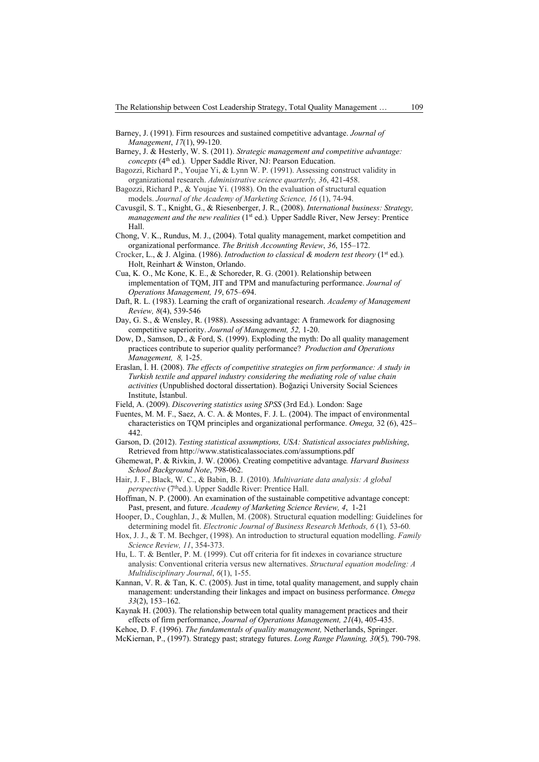- Barney, J. (1991). Firm resources and sustained competitive advantage. *Journal of Management*, *17*(1), 99-120.
- Barney, J. & Hesterly, W. S. (2011). *Strategic management and competitive advantage: concepts* (4th ed.)*.* Upper Saddle River, NJ: Pearson Education.
- Bagozzi, Richard P., Youjae Yi, & Lynn W. P. (1991). Assessing construct validity in organizational research. *Administrative science quarterly, 36*, 421-458.
- Bagozzi, Richard P., & Youjae Yi. (1988). On the evaluation of structural equation models. *Journal of the Academy of Marketing Science, 16* (1), 74-94.
- Cavusgil, S. T., Knight, G., & Riesenberger, J. R., (2008). *International business: Strategy, management and the new realities* (1<sup>st</sup> ed.). Upper Saddle River, New Jersey: Prentice Hall.
- Chong, V. K., Rundus, M. J., (2004). Total quality management, market competition and organizational performance. *The British Accounting Review*, *36*, 155–172.
- Crocker, L., & J. Algina. (1986). *Introduction to classical & modern test theory* (1<sup>st</sup> ed.). Holt, Reinhart & Winston, Orlando.
- Cua, K. O., Mc Kone, K. E., & Schoreder, R. G. (2001). Relationship between implementation of TQM, JIT and TPM and manufacturing performance. *Journal of Operations Management, 19*, 675–694.
- Daft, R. L. (1983). Learning the craft of organizational research. *Academy of Management Review, 8*(4), 539-546
- Day, G. S., & Wensley, R. (1988). Assessing advantage: A framework for diagnosing competitive superiority. *Journal of Management, 52,* 1-20.
- Dow, D., Samson, D., & Ford, S. (1999). Exploding the myth: Do all quality management practices contribute to superior quality performance? *Production and Operations Management, 8,* 1-25.
- Eraslan, İ. H. (2008). *The effects of competitive strategies on firm performance: A study in Turkish textile and apparel industry considering the mediating role of value chain activities* (Unpublished doctoral dissertation). Boğaziçi University Social Sciences Institute, İstanbul.
- Field, A. (2009). *Discovering statistics using SPSS* (3rd Ed.). London: Sage
- Fuentes, M. M. F., Saez, A. C. A. & Montes, F. J. L. (2004). The impact of environmental characteristics on TQM principles and organizational performance. *Omega,* 32 (6), 425– 442.
- Garson, D. (2012). *Testing statistical assumptions, USA: Statistical associates publishing*, Retrieved from http://www.statisticalassociates.com/assumptions.pdf
- Ghemewat, P. & Rivkin, J. W. (2006). Creating competitive advantage*. Harvard Business School Background Note*, 798-062.
- Hair, J. F., Black, W. C., & Babin, B. J. (2010). *Multivariate data analysis: A global perspective* (7<sup>th</sup>ed.). Upper Saddle River: Prentice Hall.
- Hoffman, N. P. (2000). An examination of the sustainable competitive advantage concept: Past, present, and future. *Academy of Marketing Science Review, 4*, 1-21
- Hooper, D., Coughlan, J., & Mullen, M. (2008). Structural equation modelling: Guidelines for determining model fit. *Electronic Journal of Business Research Methods, 6* (1)*,* 53-60*.*
- Hox, J. J., & T. M. Bechger, (1998). An introduction to structural equation modelling. *Family Science Review, 11*, 354-373.
- Hu, L. T. & Bentler, P. M. (1999). Cut off criteria for fit indexes in covariance structure analysis: Conventional criteria versus new alternatives. *Structural equation modeling: A Multidisciplinary Journal*, *6*(1), 1-55.
- Kannan, V. R. & Tan, K. C. (2005). Just in time, total quality management, and supply chain management: understanding their linkages and impact on business performance. *Omega 33*(2), 153–162.
- Kaynak H. (2003). The relationship between total quality management practices and their effects of firm performance, *Journal of Operations Management, 21*(4), 405-435.
- Kehoe, D. F. (1996). *The fundamentals of quality management,* Netherlands, Springer. McKiernan, P., (1997). Strategy past; strategy futures. *Long Range Planning, 30*(5)*,* 790-798.